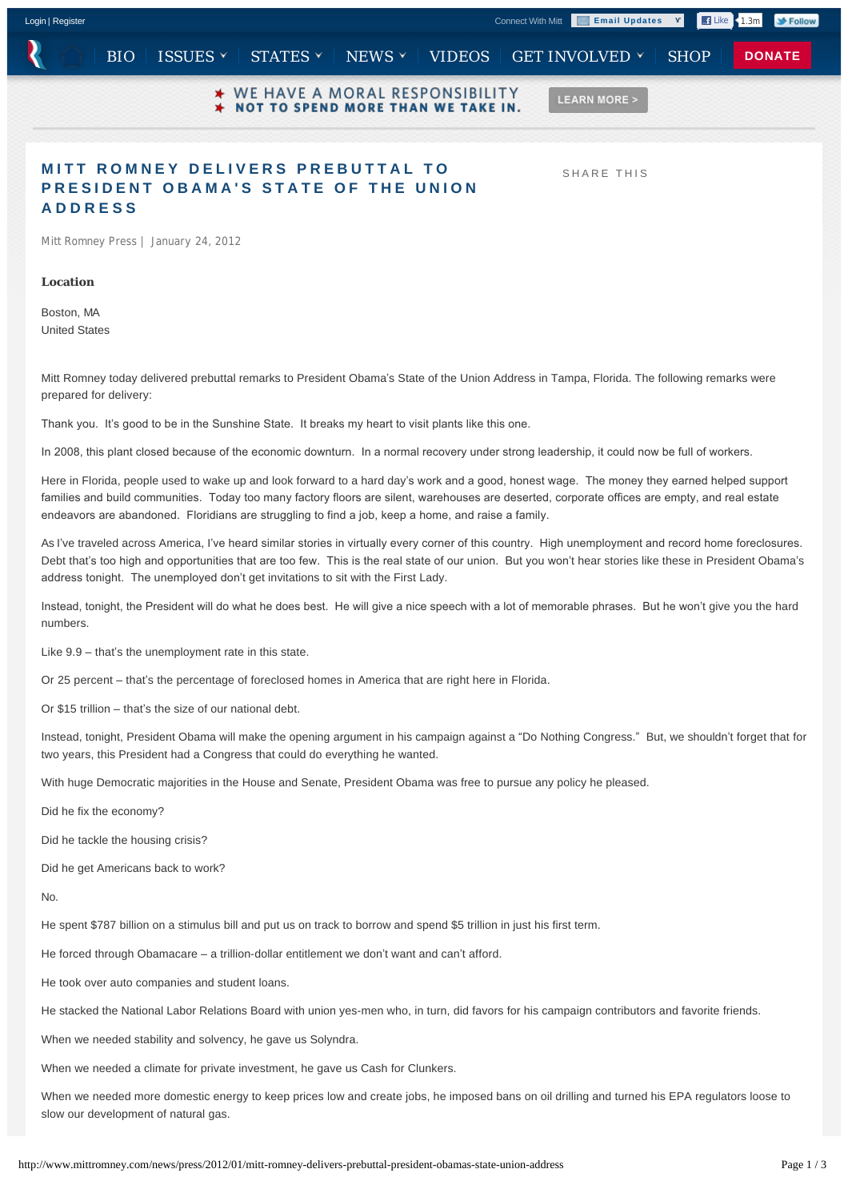

## **MITT ROMNEY DELIVERS PREBUTTAL TO PRESIDENT OBAMA'S STATE OF THE UNION ADDRESS**

SHARE THIS

Mitt Romney Press | January 24, 2012

**Location**

Boston, MA United States

Mitt Romney today delivered prebuttal remarks to President Obama's State of the Union Address in Tampa, Florida. The following remarks were prepared for delivery:

Thank you. It's good to be in the Sunshine State. It breaks my heart to visit plants like this one.

In 2008, this plant closed because of the economic downturn. In a normal recovery under strong leadership, it could now be full of workers.

Here in Florida, people used to wake up and look forward to a hard day's work and a good, honest wage. The money they earned helped support families and build communities. Today too many factory floors are silent, warehouses are deserted, corporate offices are empty, and real estate endeavors are abandoned. Floridians are struggling to find a job, keep a home, and raise a family.

As I've traveled across America, I've heard similar stories in virtually every corner of this country. High unemployment and record home foreclosures. Debt that's too high and opportunities that are too few. This is the real state of our union. But you won't hear stories like these in President Obama's address tonight. The unemployed don't get invitations to sit with the First Lady.

Instead, tonight, the President will do what he does best. He will give a nice speech with a lot of memorable phrases. But he won't give you the hard numbers.

Like 9.9 – that's the unemployment rate in this state.

Or 25 percent – that's the percentage of foreclosed homes in America that are right here in Florida.

Or \$15 trillion – that's the size of our national debt.

Instead, tonight, President Obama will make the opening argument in his campaign against a "Do Nothing Congress." But, we shouldn't forget that for two years, this President had a Congress that could do everything he wanted.

With huge Democratic majorities in the House and Senate, President Obama was free to pursue any policy he pleased.

Did he fix the economy?

Did he tackle the housing crisis?

Did he get Americans back to work?

No.

He spent \$787 billion on a stimulus bill and put us on track to borrow and spend \$5 trillion in just his first term.

He forced through Obamacare – a trillion-dollar entitlement we don't want and can't afford.

He took over auto companies and student loans.

He stacked the National Labor Relations Board with union yes-men who, in turn, did favors for his campaign contributors and favorite friends.

When we needed stability and solvency, he gave us Solyndra.

When we needed a climate for private investment, he gave us Cash for Clunkers.

When we needed more domestic energy to keep prices low and create jobs, he imposed bans on oil drilling and turned his EPA regulators loose to slow our development of natural gas.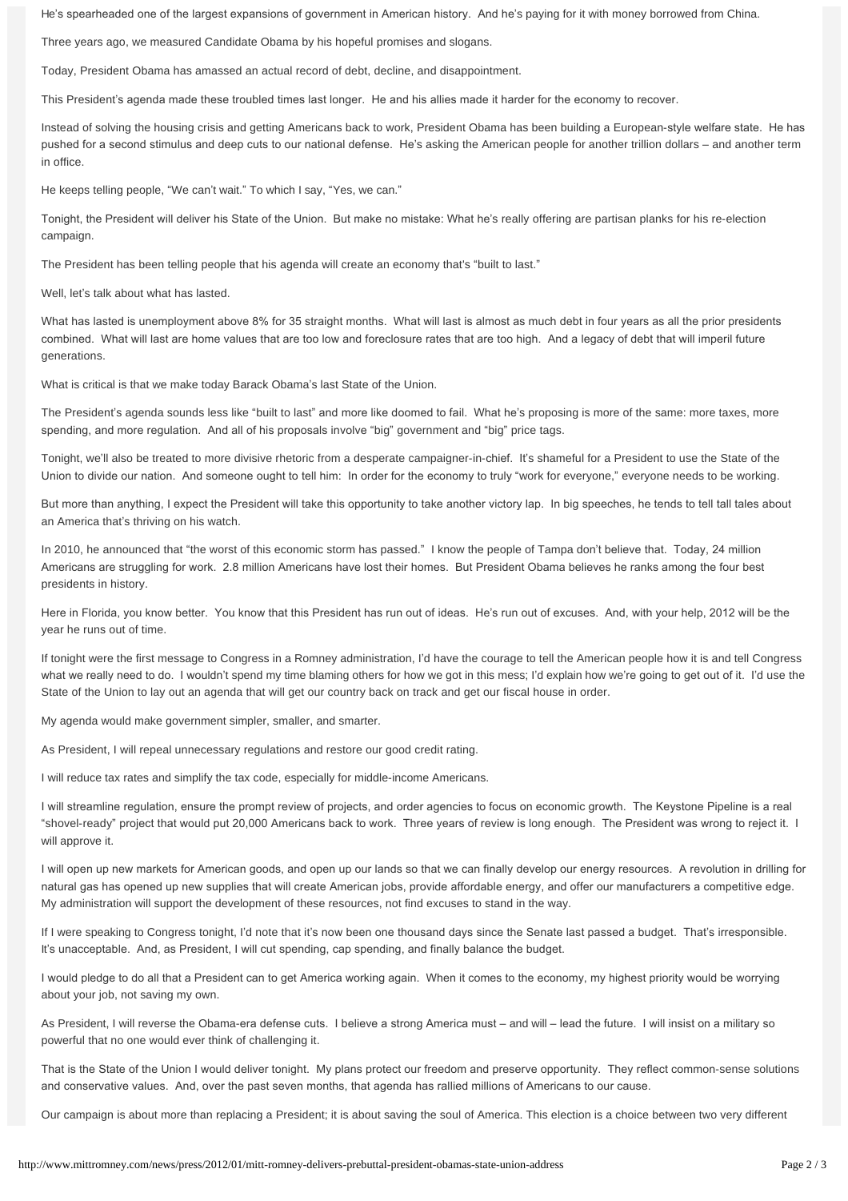He's spearheaded one of the largest expansions of government in American history. And he's paying for it with money borrowed from China.

Three years ago, we measured Candidate Obama by his hopeful promises and slogans.

Today, President Obama has amassed an actual record of debt, decline, and disappointment.

This President's agenda made these troubled times last longer. He and his allies made it harder for the economy to recover.

Instead of solving the housing crisis and getting Americans back to work, President Obama has been building a European-style welfare state. He has pushed for a second stimulus and deep cuts to our national defense. He's asking the American people for another trillion dollars – and another term in office.

He keeps telling people, "We can't wait." To which I say, "Yes, we can."

Tonight, the President will deliver his State of the Union. But make no mistake: What he's really offering are partisan planks for his re-election campaign.

The President has been telling people that his agenda will create an economy that's "built to last."

Well, let's talk about what has lasted.

What has lasted is unemployment above 8% for 35 straight months. What will last is almost as much debt in four years as all the prior presidents combined. What will last are home values that are too low and foreclosure rates that are too high. And a legacy of debt that will imperil future generations.

What is critical is that we make today Barack Obama's last State of the Union.

The President's agenda sounds less like "built to last" and more like doomed to fail. What he's proposing is more of the same: more taxes, more spending, and more regulation. And all of his proposals involve "big" government and "big" price tags.

Tonight, we'll also be treated to more divisive rhetoric from a desperate campaigner-in-chief. It's shameful for a President to use the State of the Union to divide our nation. And someone ought to tell him: In order for the economy to truly "work for everyone," everyone needs to be working.

But more than anything, I expect the President will take this opportunity to take another victory lap. In big speeches, he tends to tell tall tales about an America that's thriving on his watch.

In 2010, he announced that "the worst of this economic storm has passed." I know the people of Tampa don't believe that. Today, 24 million Americans are struggling for work. 2.8 million Americans have lost their homes. But President Obama believes he ranks among the four best presidents in history.

Here in Florida, you know better. You know that this President has run out of ideas. He's run out of excuses. And, with your help, 2012 will be the year he runs out of time.

If tonight were the first message to Congress in a Romney administration, I'd have the courage to tell the American people how it is and tell Congress what we really need to do. I wouldn't spend my time blaming others for how we got in this mess; I'd explain how we're going to get out of it. I'd use the State of the Union to lay out an agenda that will get our country back on track and get our fiscal house in order.

My agenda would make government simpler, smaller, and smarter.

As President, I will repeal unnecessary regulations and restore our good credit rating.

I will reduce tax rates and simplify the tax code, especially for middle-income Americans.

I will streamline regulation, ensure the prompt review of projects, and order agencies to focus on economic growth. The Keystone Pipeline is a real "shovel-ready" project that would put 20,000 Americans back to work. Three years of review is long enough. The President was wrong to reject it. I will approve it.

I will open up new markets for American goods, and open up our lands so that we can finally develop our energy resources. A revolution in drilling for natural gas has opened up new supplies that will create American jobs, provide affordable energy, and offer our manufacturers a competitive edge. My administration will support the development of these resources, not find excuses to stand in the way.

If I were speaking to Congress tonight, I'd note that it's now been one thousand days since the Senate last passed a budget. That's irresponsible. It's unacceptable. And, as President, I will cut spending, cap spending, and finally balance the budget.

I would pledge to do all that a President can to get America working again. When it comes to the economy, my highest priority would be worrying about your job, not saving my own.

As President, I will reverse the Obama-era defense cuts. I believe a strong America must – and will – lead the future. I will insist on a military so powerful that no one would ever think of challenging it.

That is the State of the Union I would deliver tonight. My plans protect our freedom and preserve opportunity. They reflect common-sense solutions and conservative values. And, over the past seven months, that agenda has rallied millions of Americans to our cause.

Our campaign is about more than replacing a President; it is about saving the soul of America. This election is a choice between two very different